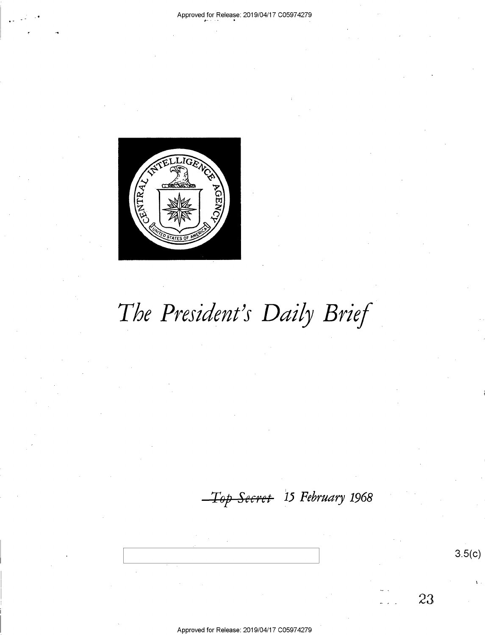

The President's Daily Brief

Top Secret 15 February 1968

 $3.5(c)$ 

23

Approved for Release: 2019/04/17 C05974279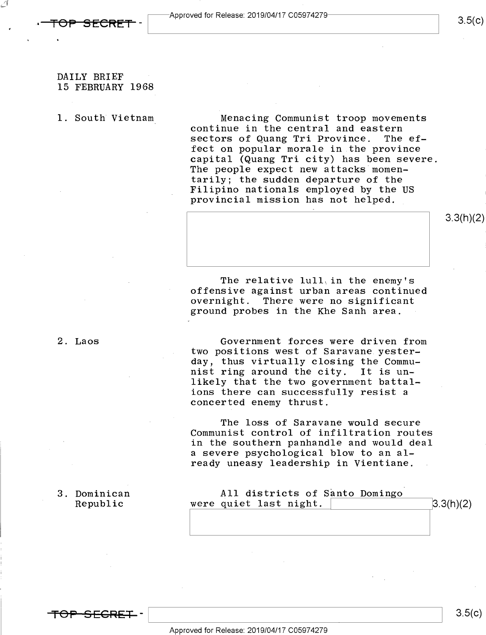<del>OP SECRET</del>

 $\leftarrow$ '

## DAILY BRIEF 15 FEBRUARY 1968

1. South Vietnam\_ Menacing Communist troop movements continue in the central and eastern<br>sectors of Quang Tri Province. The efsectors of Quang Tri Province. fect on popular morale in the province capital (Quang Tri city) has been severe. The people expect new attacks momentarily; the sudden departure of the<br>Filipino nationals employed by the US provincial mission has not helped.

> The relative lull, in the enemy's offensive against urban areas continued There were no significant ground probes in the Khe Sanh area.

2. Laos Government forces were driven from two positions west of Saravane yesterday, thus virtually closing the Communist ring around the city. It is unlikely that the two government battalions there can successfully resist <sup>a</sup> concerted enemy thrust.

> The loss of Saravane would secure Communist control of infiltration routes in the southern panhandle and would deal a severe psychological blow to an already uneasy leadership in Vientiane.

| Dominican | All districts of Santo Domingo |           |
|-----------|--------------------------------|-----------|
| Republic  | were quiet last night.         | 3.3(h)(2) |

3. Dominican

<del>TOP SECRET</del> –

 $3.5(c)$ 

 $3.5(c)$ 

3.3(h)(2)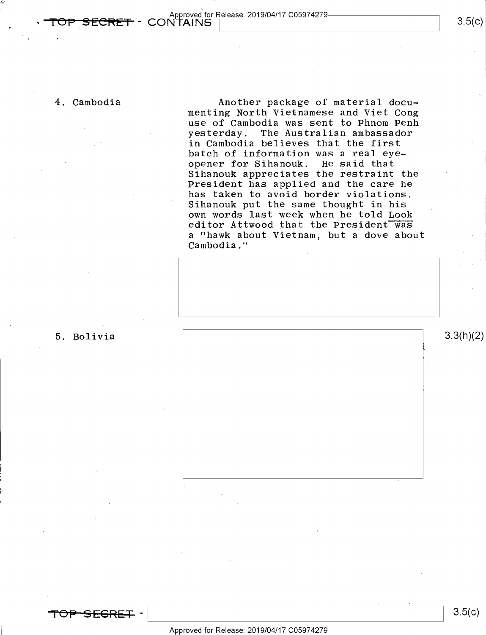/

4. Cambodia **Another package of material docu**menting North Vietnamese and Viet Cong use of Cambodia was sent to Phnom Penh yesterday. The Australian ambassador in Cambodia believes that the first batch of information was a real eyeopener for Sihanouk. He said that Sihanouk appreciates the restraint the President has applied and the care he has taken to avoid border violations. Sihanouk put the same thought in his own words last week when he told Look editor Attwood that the President was a "hawk about Vietnam, but a dove about Cambodia."

5. Bolivia  $\begin{bmatrix} 5 & 3.3(n)/2 \end{bmatrix}$ 

<del>'SFCRET</del> -

### Approved for Release: 2019/O4/17 CO5974279

 $3.5(c)$ 

I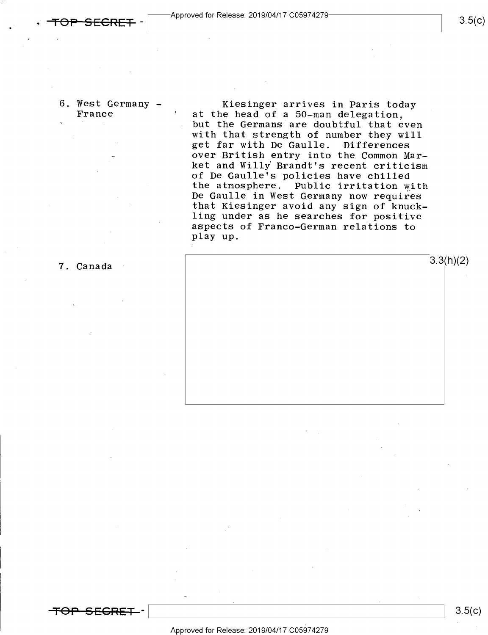6. West Germany - Kiesinger arrives in Paris today France ' at the head of a 50-man delegation, but the Germans are doubtful that even with that strength of number they will get far with De Gaulle. Differences over British entry into the Common Market and Willy Brandt's recent criticism<br>of De Gaulle's policies have chilled the atmosphere. Public irritation with<br>De Gaulle in West Germany now requires that Kiesinger avoid any sign of knuck-<br>ling under as he searches for positive aspects of Franco-German relations to play up.



 $3.5(c)$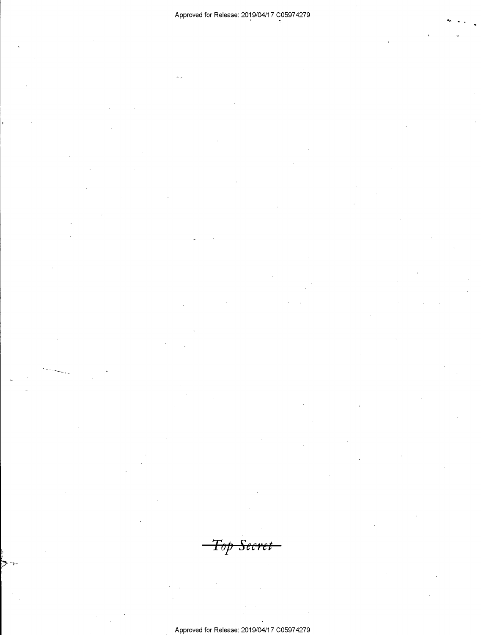<del>Top Secret</del>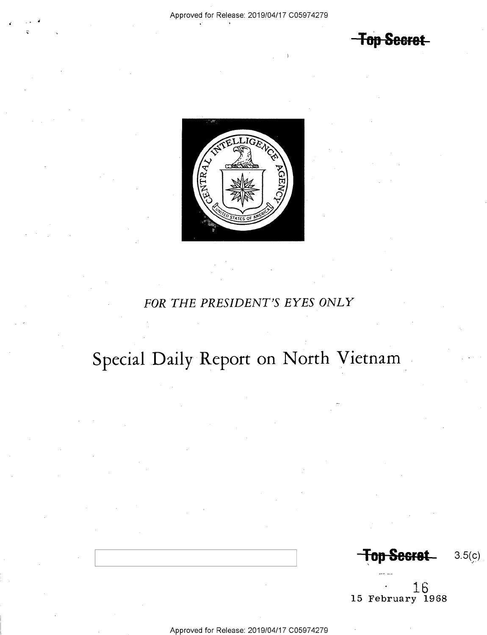**Top Secret** 



## FOR THE PRESIDENT'S EYES ONLY

# Special Daily Report on North Vietnam

**Top Secret**  $3.5(c)$ 

15 February 1968

Approved for Release: 2019/04/17 C05974279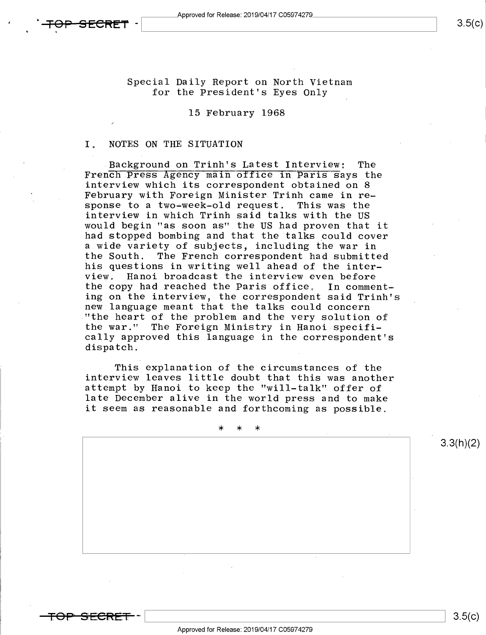Special Daily Report on North Vietnam for the President's Eyes Only

## 15 February 1968

### I. NOTES ON THE SITUATION

Background on Trinh's Latest Interview: The<br>French Press Agency main office in Paris Says the interview which its correspondent obtained on 8 February with Foreign Minister Trinh came in response to a two-week-old request. interview in which Trinh said talks with the US would begin "as soon as" the US had proven that it had stopped bombing and that the talks could cover a wide variety of subjects, including the war in<br>the South. The French correspondent had submitt The French correspondent had submitted his questions in writing well ahead of the inter-<br>view. Hanoi broadcast the interview even before Hanoi broadcast the interview even before<br>by had reached the Paris office. In commentthe copy had reached the Paris office. ing on the interview, the correspondent said Trinh's new language meant that the talks could concern ."the heart of the problem and the very solution of the war." The Foreign Ministry in Hanoi specifically approved this language in the correspondent's dispatch.

This explanation of the circumstances of the interview leaves little doubt that this was another attempt by Hanoi to keep the "will-talk" offer of late December alive in the world press and to make it seem as reasonable and forthcoming as possible.

\* \* \*

--

3.3(h)(2)

 $3.5(c)$ 

-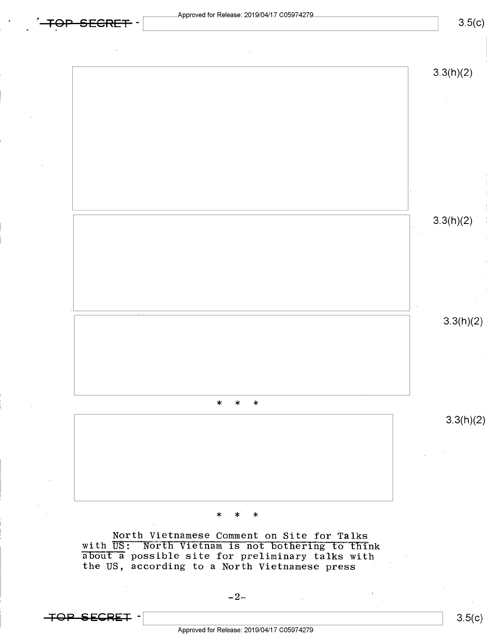Approved for Release: 2019/04/17 C05974279

 $3.5(c)$ 



North Vietnamese Comment on Site for Talks<br>with US: North Vietnam is not bothering to think<br>about a possible site for preliminary talks with the US, according to a North Vietnamese press

**TOP SECRET -**

 $3.5(c)$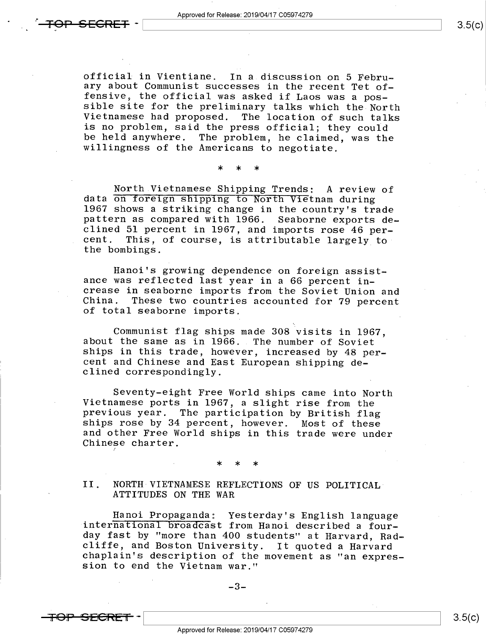official in Vientiane. In a discussion on 5 Febru-<br>ary about Communist successes in the recent Tet of-<br>fensive, the official was asked if Laos was a pos-<br>sible site for the preliminary talks which the North<br>Vietnamese had be held anywhere. The problem, he claimed, was the willingness of the Americans to negotiate.

\* \* \*

North Vietnamese Shipping Trends: A review of<br>data on foreign shipping to North Vietnam during<br>1967 shows a striking change in the country's trade<br>pattern as compared with 1966. Seaborne exports de-<br>clined 51 percent in 19 cent. This, of course, is attributable largely to<br>the bombings.

Hanoi's growing dependence on foreign assist-<br>ance was reflected last year in a 66 percent in-<br>crease in seaborne imports from the Soviet Union and<br>China. These two countries accounted for 79 percent<br>of total seaborne impo

Communist flag ships made 308 visits in 1967, about the same as in 1966. The number of Soviet ships in this trade, however, increased by 48 percent and Chinese and East European shipping de- clined correspondingly.

Seventy-eight Free World ships came into North<br>Vietnamese ports in 1967, a slight rise from the<br>previous year. The participation by British flag<br>ships rose by 34 percent, however. Most of these<br>and other Free World ships i

- \* \* \*

# II. NORTH VIETNAMESE REFLECTIONS OF US POLITICAL' ATTITUDES ON THE WAR

Hanoi Propaganda: Yesterday's English language<br>international broadcast from Hanoi described a four-<br>day fast by "more than 400 students" at Harvard, Radcliffe, and Boston University. It quoted a Harvard<br>chaplain's description of the movement as "an expres-<br>sion to end the Vietnam war."

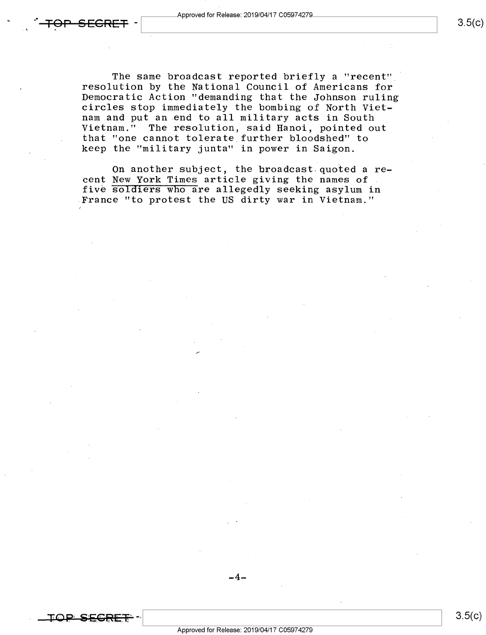$3.5(c)$ 

 $3.5(c)$ 

The same broadcast reported briefly a "recent" resolution by the National Council of Americans for Democratic Action "demanding that the Johnson ruling circles stop immediately the bombing of North Viet-Vietnam." The resolution, said Hanoi, pointed out , that "one cannot tolerate further bloodshed" to keep the "military junta" in power in Saigon.

On another subject, the broadcast quoted a recent New York Times article giving the names of . five soldiers who are allegedly seeking asylum in France "to protest the US dirty war in Vietnam."

Approved for Release: 2019/04/17 C05974279

 $-$